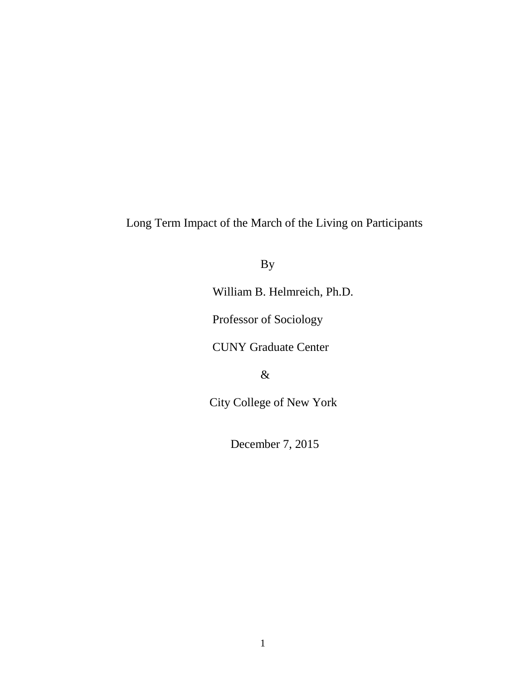Long Term Impact of the March of the Living on Participants

By

William B. Helmreich, Ph.D.

Professor of Sociology

CUNY Graduate Center

&

City College of New York

December 7, 2015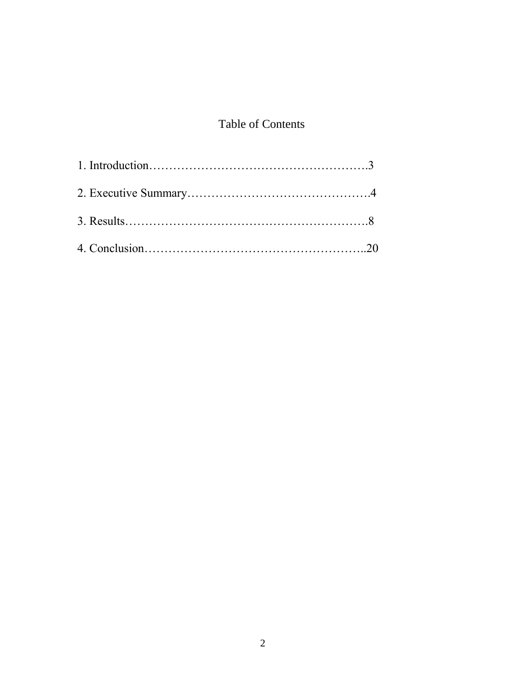## Table of Contents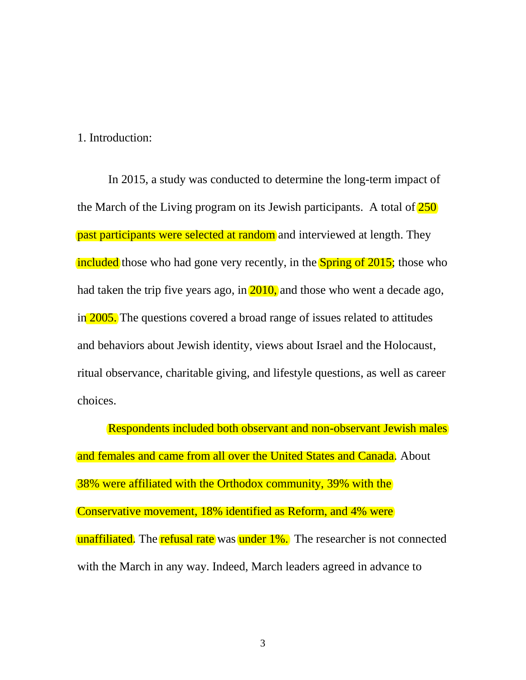1. Introduction:

In 2015, a study was conducted to determine the long-term impact of the March of the Living program on its Jewish participants. A total of  $250$ past participants were selected at random and interviewed at length. They included those who had gone very recently, in the **Spring of 2015**; those who had taken the trip five years ago, in  $\overline{2010}$ , and those who went a decade ago, in 2005. The questions covered a broad range of issues related to attitudes and behaviors about Jewish identity, views about Israel and the Holocaust, ritual observance, charitable giving, and lifestyle questions, as well as career choices.

Respondents included both observant and non-observant Jewish males and females and came from all over the United States and Canada. About 38% were affiliated with the Orthodox community, 39% with the Conservative movement, 18% identified as Reform, and 4% were unaffiliated. The refusal rate was under 1%. The researcher is not connected with the March in any way. Indeed, March leaders agreed in advance to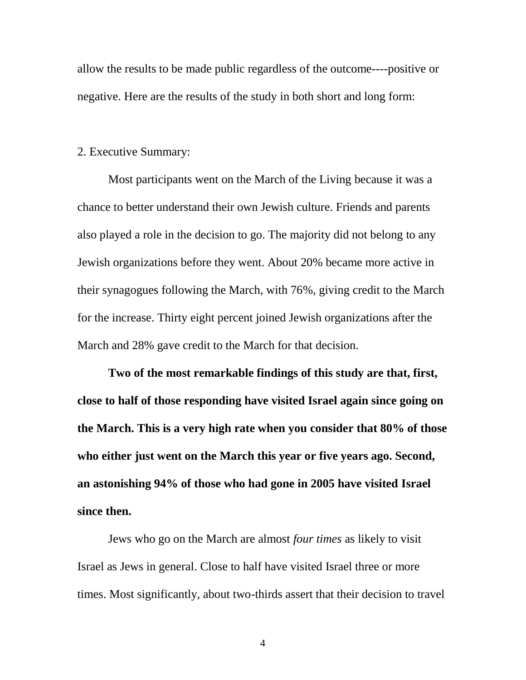allow the results to be made public regardless of the outcome----positive or negative. Here are the results of the study in both short and long form:

## 2. Executive Summary:

Most participants went on the March of the Living because it was a chance to better understand their own Jewish culture. Friends and parents also played a role in the decision to go. The majority did not belong to any Jewish organizations before they went. About 20% became more active in their synagogues following the March, with 76%, giving credit to the March for the increase. Thirty eight percent joined Jewish organizations after the March and 28% gave credit to the March for that decision.

**Two of the most remarkable findings of this study are that, first, close to half of those responding have visited Israel again since going on the March. This is a very high rate when you consider that 80% of those who either just went on the March this year or five years ago. Second, an astonishing 94% of those who had gone in 2005 have visited Israel since then.**

Jews who go on the March are almost *four times* as likely to visit Israel as Jews in general. Close to half have visited Israel three or more times. Most significantly, about two-thirds assert that their decision to travel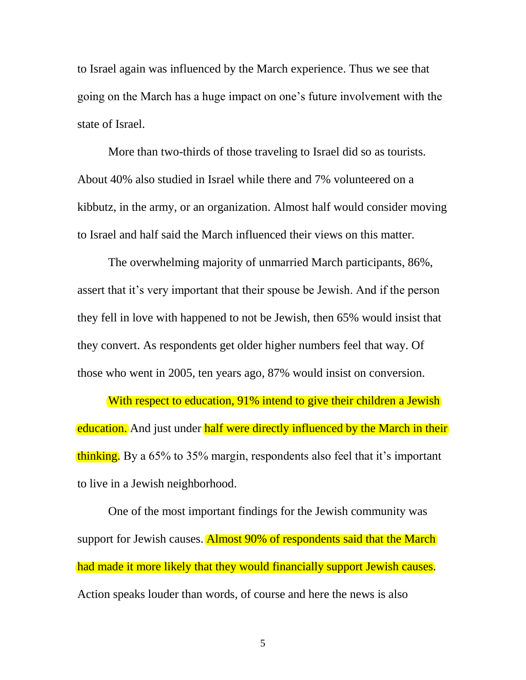to Israel again was influenced by the March experience. Thus we see that going on the March has a huge impact on one's future involvement with the state of Israel.

More than two-thirds of those traveling to Israel did so as tourists. About 40% also studied in Israel while there and 7% volunteered on a kibbutz, in the army, or an organization. Almost half would consider moving to Israel and half said the March influenced their views on this matter.

The overwhelming majority of unmarried March participants, 86%, assert that it's very important that their spouse be Jewish. And if the person they fell in love with happened to not be Jewish, then 65% would insist that they convert. As respondents get older higher numbers feel that way. Of those who went in 2005, ten years ago, 87% would insist on conversion.

With respect to education, 91% intend to give their children a Jewish education. And just under half were directly influenced by the March in their thinking. By a 65% to 35% margin, respondents also feel that it's important to live in a Jewish neighborhood.

One of the most important findings for the Jewish community was support for Jewish causes. Almost 90% of respondents said that the March had made it more likely that they would financially support Jewish causes. Action speaks louder than words, of course and here the news is also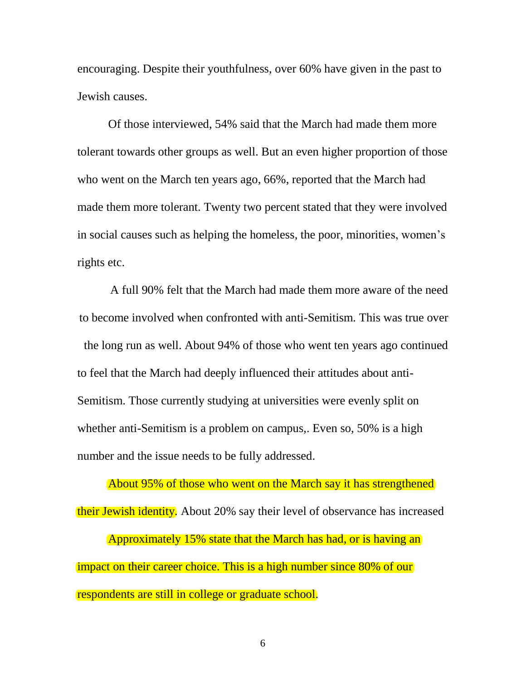encouraging. Despite their youthfulness, over 60% have given in the past to Jewish causes.

Of those interviewed, 54% said that the March had made them more tolerant towards other groups as well. But an even higher proportion of those who went on the March ten years ago, 66%, reported that the March had made them more tolerant. Twenty two percent stated that they were involved in social causes such as helping the homeless, the poor, minorities, women's rights etc.

A full 90% felt that the March had made them more aware of the need to become involved when confronted with anti-Semitism. This was true over the long run as well. About 94% of those who went ten years ago continued to feel that the March had deeply influenced their attitudes about anti-Semitism. Those currently studying at universities were evenly split on whether anti-Semitism is a problem on campus,. Even so, 50% is a high number and the issue needs to be fully addressed.

About 95% of those who went on the March say it has strengthened their Jewish identity. About 20% say their level of observance has increased Approximately 15% state that the March has had, or is having an impact on their career choice. This is a high number since 80% of our respondents are still in college or graduate school.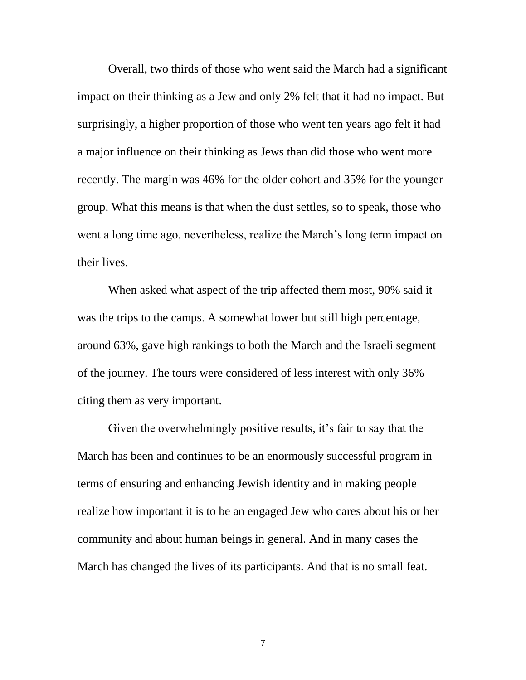Overall, two thirds of those who went said the March had a significant impact on their thinking as a Jew and only 2% felt that it had no impact. But surprisingly, a higher proportion of those who went ten years ago felt it had a major influence on their thinking as Jews than did those who went more recently. The margin was 46% for the older cohort and 35% for the younger group. What this means is that when the dust settles, so to speak, those who went a long time ago, nevertheless, realize the March's long term impact on their lives.

When asked what aspect of the trip affected them most, 90% said it was the trips to the camps. A somewhat lower but still high percentage, around 63%, gave high rankings to both the March and the Israeli segment of the journey. The tours were considered of less interest with only 36% citing them as very important.

Given the overwhelmingly positive results, it's fair to say that the March has been and continues to be an enormously successful program in terms of ensuring and enhancing Jewish identity and in making people realize how important it is to be an engaged Jew who cares about his or her community and about human beings in general. And in many cases the March has changed the lives of its participants. And that is no small feat.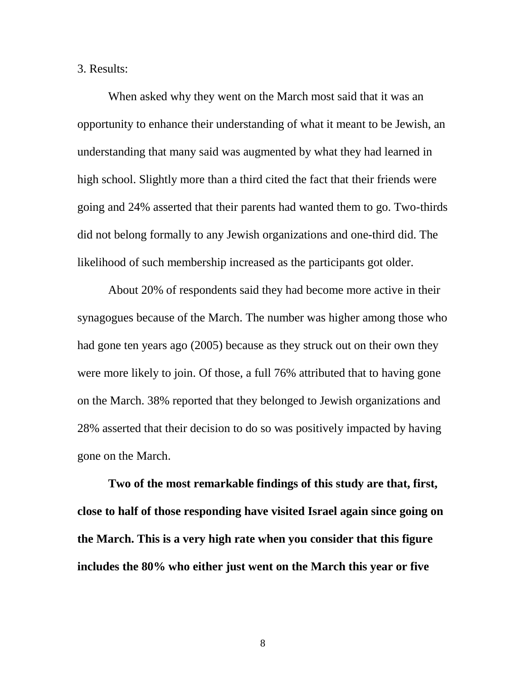3. Results:

When asked why they went on the March most said that it was an opportunity to enhance their understanding of what it meant to be Jewish, an understanding that many said was augmented by what they had learned in high school. Slightly more than a third cited the fact that their friends were going and 24% asserted that their parents had wanted them to go. Two-thirds did not belong formally to any Jewish organizations and one-third did. The likelihood of such membership increased as the participants got older.

About 20% of respondents said they had become more active in their synagogues because of the March. The number was higher among those who had gone ten years ago (2005) because as they struck out on their own they were more likely to join. Of those, a full 76% attributed that to having gone on the March. 38% reported that they belonged to Jewish organizations and 28% asserted that their decision to do so was positively impacted by having gone on the March.

**Two of the most remarkable findings of this study are that, first, close to half of those responding have visited Israel again since going on the March. This is a very high rate when you consider that this figure includes the 80% who either just went on the March this year or five**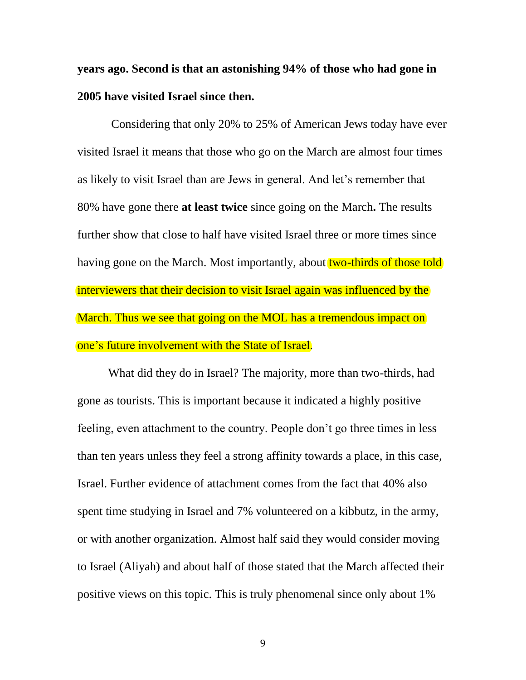**years ago. Second is that an astonishing 94% of those who had gone in 2005 have visited Israel since then.**

Considering that only 20% to 25% of American Jews today have ever visited Israel it means that those who go on the March are almost four times as likely to visit Israel than are Jews in general. And let's remember that 80% have gone there **at least twice** since going on the March**.** The results further show that close to half have visited Israel three or more times since having gone on the March. Most importantly, about two-thirds of those told interviewers that their decision to visit Israel again was influenced by the March. Thus we see that going on the MOL has a tremendous impact on one's future involvement with the State of Israel.

What did they do in Israel? The majority, more than two-thirds, had gone as tourists. This is important because it indicated a highly positive feeling, even attachment to the country. People don't go three times in less than ten years unless they feel a strong affinity towards a place, in this case, Israel. Further evidence of attachment comes from the fact that 40% also spent time studying in Israel and 7% volunteered on a kibbutz, in the army, or with another organization. Almost half said they would consider moving to Israel (Aliyah) and about half of those stated that the March affected their positive views on this topic. This is truly phenomenal since only about 1%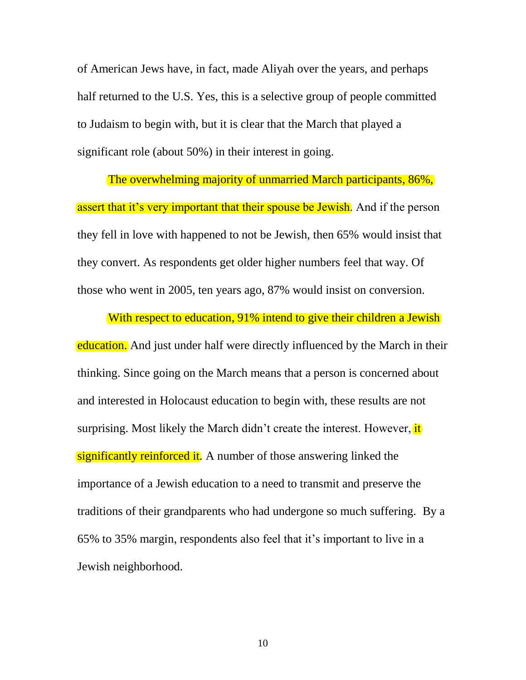of American Jews have, in fact, made Aliyah over the years, and perhaps half returned to the U.S. Yes, this is a selective group of people committed to Judaism to begin with, but it is clear that the March that played a significant role (about 50%) in their interest in going.

The overwhelming majority of unmarried March participants, 86%, assert that it's very important that their spouse be Jewish. And if the person they fell in love with happened to not be Jewish, then 65% would insist that they convert. As respondents get older higher numbers feel that way. Of those who went in 2005, ten years ago, 87% would insist on conversion.

With respect to education, 91% intend to give their children a Jewish education. And just under half were directly influenced by the March in their thinking. Since going on the March means that a person is concerned about and interested in Holocaust education to begin with, these results are not surprising. Most likely the March didn't create the interest. However, it significantly reinforced it. A number of those answering linked the importance of a Jewish education to a need to transmit and preserve the traditions of their grandparents who had undergone so much suffering. By a 65% to 35% margin, respondents also feel that it's important to live in a Jewish neighborhood.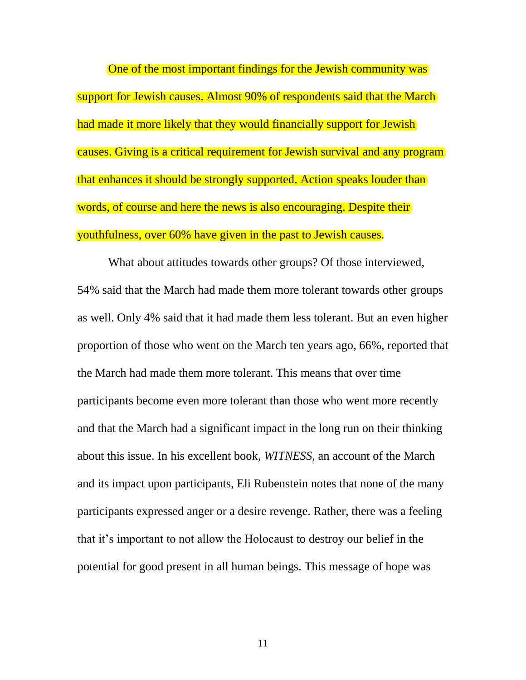One of the most important findings for the Jewish community was support for Jewish causes. Almost 90% of respondents said that the March had made it more likely that they would financially support for Jewish causes. Giving is a critical requirement for Jewish survival and any program that enhances it should be strongly supported. Action speaks louder than words, of course and here the news is also encouraging. Despite their youthfulness, over 60% have given in the past to Jewish causes.

What about attitudes towards other groups? Of those interviewed, 54% said that the March had made them more tolerant towards other groups as well. Only 4% said that it had made them less tolerant. But an even higher proportion of those who went on the March ten years ago, 66%, reported that the March had made them more tolerant. This means that over time participants become even more tolerant than those who went more recently and that the March had a significant impact in the long run on their thinking about this issue. In his excellent book, *WITNESS,* an account of the March and its impact upon participants, Eli Rubenstein notes that none of the many participants expressed anger or a desire revenge. Rather, there was a feeling that it's important to not allow the Holocaust to destroy our belief in the potential for good present in all human beings. This message of hope was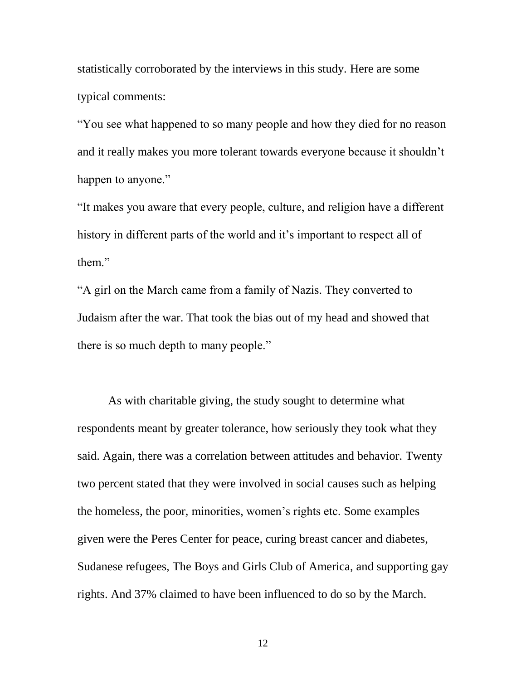statistically corroborated by the interviews in this study. Here are some typical comments:

"You see what happened to so many people and how they died for no reason and it really makes you more tolerant towards everyone because it shouldn't happen to anyone."

"It makes you aware that every people, culture, and religion have a different history in different parts of the world and it's important to respect all of them."

"A girl on the March came from a family of Nazis. They converted to Judaism after the war. That took the bias out of my head and showed that there is so much depth to many people."

As with charitable giving, the study sought to determine what respondents meant by greater tolerance, how seriously they took what they said. Again, there was a correlation between attitudes and behavior. Twenty two percent stated that they were involved in social causes such as helping the homeless, the poor, minorities, women's rights etc. Some examples given were the Peres Center for peace, curing breast cancer and diabetes, Sudanese refugees, The Boys and Girls Club of America, and supporting gay rights. And 37% claimed to have been influenced to do so by the March.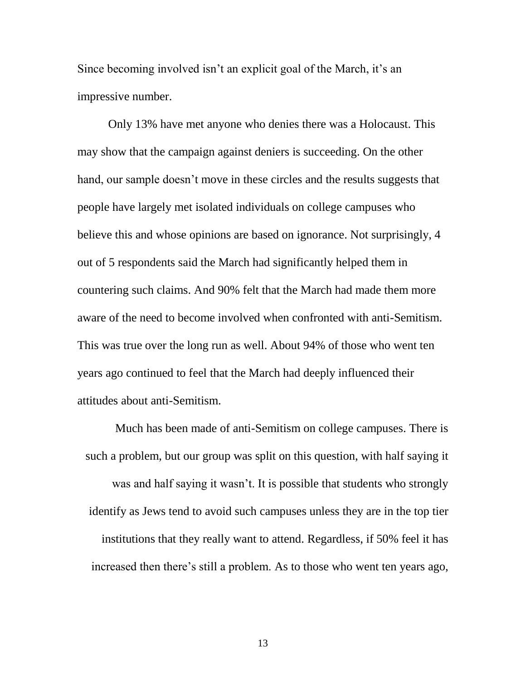Since becoming involved isn't an explicit goal of the March, it's an impressive number.

Only 13% have met anyone who denies there was a Holocaust. This may show that the campaign against deniers is succeeding. On the other hand, our sample doesn't move in these circles and the results suggests that people have largely met isolated individuals on college campuses who believe this and whose opinions are based on ignorance. Not surprisingly, 4 out of 5 respondents said the March had significantly helped them in countering such claims. And 90% felt that the March had made them more aware of the need to become involved when confronted with anti-Semitism. This was true over the long run as well. About 94% of those who went ten years ago continued to feel that the March had deeply influenced their attitudes about anti-Semitism.

Much has been made of anti-Semitism on college campuses. There is such a problem, but our group was split on this question, with half saying it was and half saying it wasn't. It is possible that students who strongly identify as Jews tend to avoid such campuses unless they are in the top tier institutions that they really want to attend. Regardless, if 50% feel it has increased then there's still a problem. As to those who went ten years ago,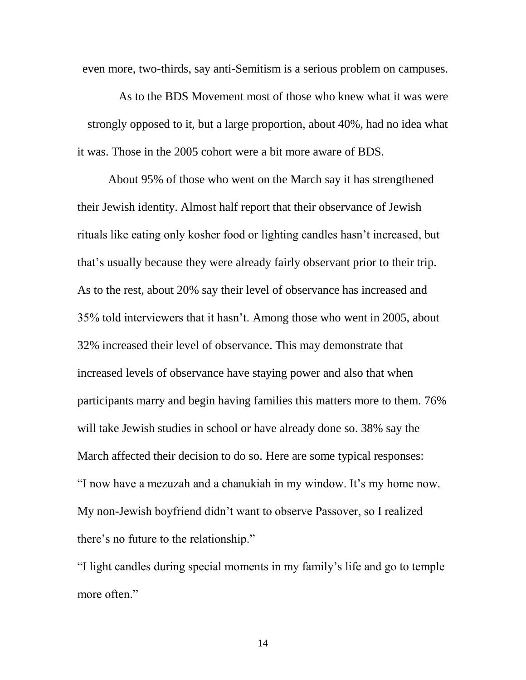even more, two-thirds, say anti-Semitism is a serious problem on campuses.

As to the BDS Movement most of those who knew what it was were strongly opposed to it, but a large proportion, about 40%, had no idea what it was. Those in the 2005 cohort were a bit more aware of BDS.

About 95% of those who went on the March say it has strengthened their Jewish identity. Almost half report that their observance of Jewish rituals like eating only kosher food or lighting candles hasn't increased, but that's usually because they were already fairly observant prior to their trip. As to the rest, about 20% say their level of observance has increased and 35% told interviewers that it hasn't. Among those who went in 2005, about 32% increased their level of observance. This may demonstrate that increased levels of observance have staying power and also that when participants marry and begin having families this matters more to them. 76% will take Jewish studies in school or have already done so. 38% say the March affected their decision to do so. Here are some typical responses: "I now have a mezuzah and a chanukiah in my window. It's my home now. My non-Jewish boyfriend didn't want to observe Passover, so I realized there's no future to the relationship."

"I light candles during special moments in my family's life and go to temple more often."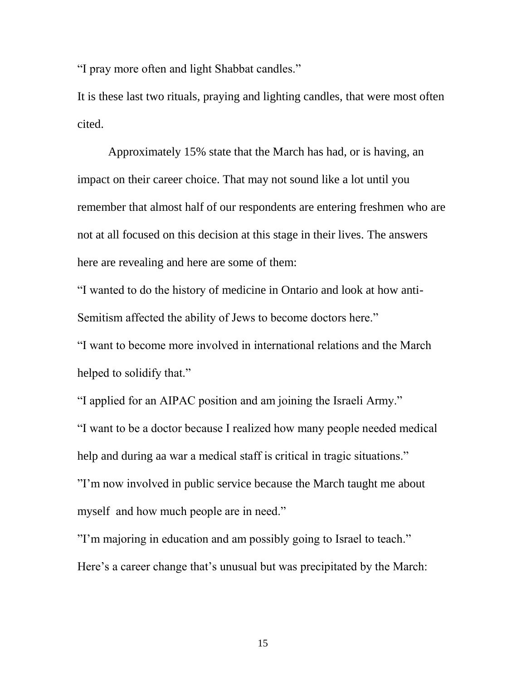"I pray more often and light Shabbat candles."

It is these last two rituals, praying and lighting candles, that were most often cited.

Approximately 15% state that the March has had, or is having, an impact on their career choice. That may not sound like a lot until you remember that almost half of our respondents are entering freshmen who are not at all focused on this decision at this stage in their lives. The answers here are revealing and here are some of them:

"I wanted to do the history of medicine in Ontario and look at how anti-Semitism affected the ability of Jews to become doctors here."

"I want to become more involved in international relations and the March helped to solidify that."

"I applied for an AIPAC position and am joining the Israeli Army." "I want to be a doctor because I realized how many people needed medical help and during aa war a medical staff is critical in tragic situations." "I'm now involved in public service because the March taught me about myself and how much people are in need."

"I'm majoring in education and am possibly going to Israel to teach." Here's a career change that's unusual but was precipitated by the March: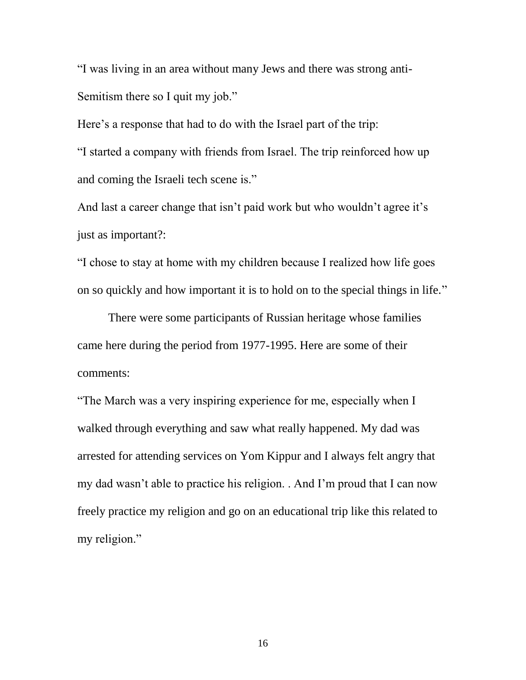"I was living in an area without many Jews and there was strong anti-Semitism there so I quit my job."

Here's a response that had to do with the Israel part of the trip: "I started a company with friends from Israel. The trip reinforced how up and coming the Israeli tech scene is."

And last a career change that isn't paid work but who wouldn't agree it's just as important?:

"I chose to stay at home with my children because I realized how life goes on so quickly and how important it is to hold on to the special things in life."

There were some participants of Russian heritage whose families came here during the period from 1977-1995. Here are some of their comments:

"The March was a very inspiring experience for me, especially when I walked through everything and saw what really happened. My dad was arrested for attending services on Yom Kippur and I always felt angry that my dad wasn't able to practice his religion. . And I'm proud that I can now freely practice my religion and go on an educational trip like this related to my religion."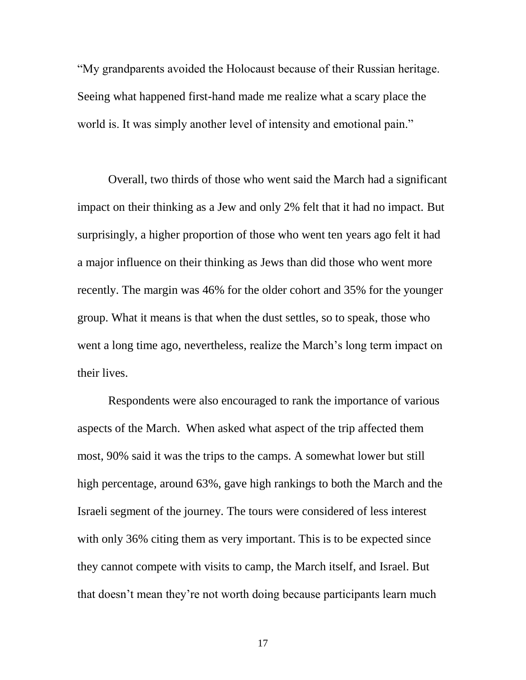"My grandparents avoided the Holocaust because of their Russian heritage. Seeing what happened first-hand made me realize what a scary place the world is. It was simply another level of intensity and emotional pain."

Overall, two thirds of those who went said the March had a significant impact on their thinking as a Jew and only 2% felt that it had no impact. But surprisingly, a higher proportion of those who went ten years ago felt it had a major influence on their thinking as Jews than did those who went more recently. The margin was 46% for the older cohort and 35% for the younger group. What it means is that when the dust settles, so to speak, those who went a long time ago, nevertheless, realize the March's long term impact on their lives.

Respondents were also encouraged to rank the importance of various aspects of the March. When asked what aspect of the trip affected them most, 90% said it was the trips to the camps. A somewhat lower but still high percentage, around 63%, gave high rankings to both the March and the Israeli segment of the journey. The tours were considered of less interest with only 36% citing them as very important. This is to be expected since they cannot compete with visits to camp, the March itself, and Israel. But that doesn't mean they're not worth doing because participants learn much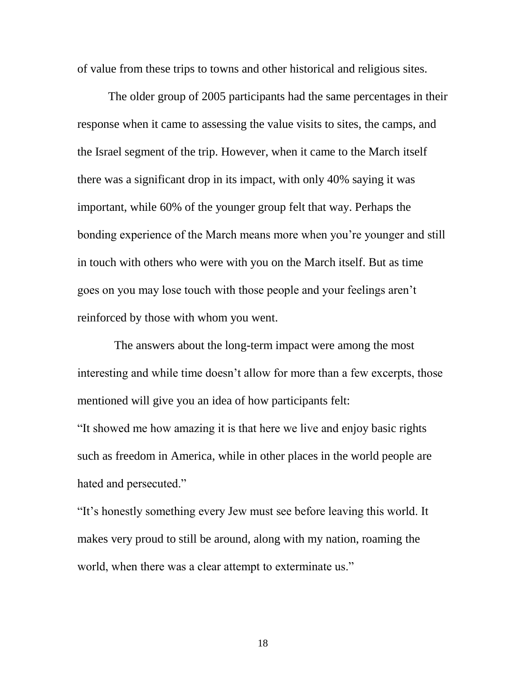of value from these trips to towns and other historical and religious sites.

The older group of 2005 participants had the same percentages in their response when it came to assessing the value visits to sites, the camps, and the Israel segment of the trip. However, when it came to the March itself there was a significant drop in its impact, with only 40% saying it was important, while 60% of the younger group felt that way. Perhaps the bonding experience of the March means more when you're younger and still in touch with others who were with you on the March itself. But as time goes on you may lose touch with those people and your feelings aren't reinforced by those with whom you went.

 The answers about the long-term impact were among the most interesting and while time doesn't allow for more than a few excerpts, those mentioned will give you an idea of how participants felt:

"It showed me how amazing it is that here we live and enjoy basic rights such as freedom in America, while in other places in the world people are hated and persecuted."

"It's honestly something every Jew must see before leaving this world. It makes very proud to still be around, along with my nation, roaming the world, when there was a clear attempt to exterminate us."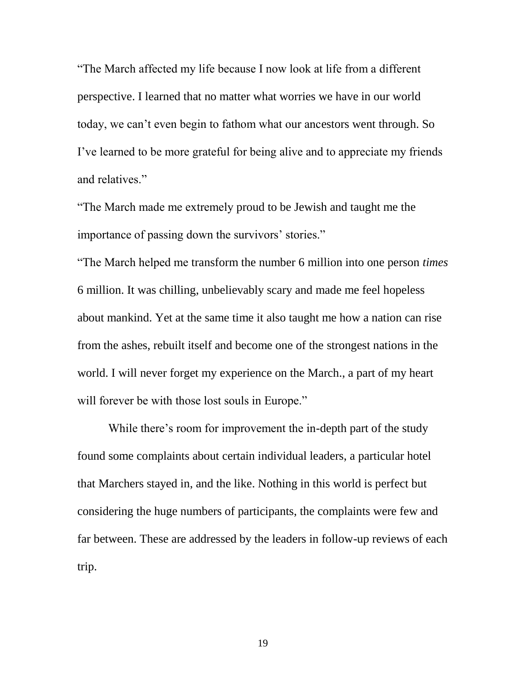"The March affected my life because I now look at life from a different perspective. I learned that no matter what worries we have in our world today, we can't even begin to fathom what our ancestors went through. So I've learned to be more grateful for being alive and to appreciate my friends and relatives."

"The March made me extremely proud to be Jewish and taught me the importance of passing down the survivors' stories."

"The March helped me transform the number 6 million into one person *times*  6 million. It was chilling, unbelievably scary and made me feel hopeless about mankind. Yet at the same time it also taught me how a nation can rise from the ashes, rebuilt itself and become one of the strongest nations in the world. I will never forget my experience on the March., a part of my heart will forever be with those lost souls in Europe."

While there's room for improvement the in-depth part of the study found some complaints about certain individual leaders, a particular hotel that Marchers stayed in, and the like. Nothing in this world is perfect but considering the huge numbers of participants, the complaints were few and far between. These are addressed by the leaders in follow-up reviews of each trip.